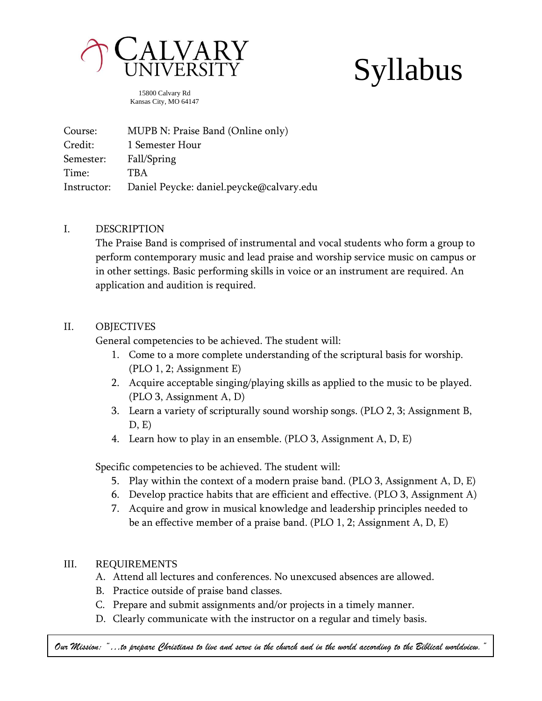

# Syllabus

15800 Calvary Rd Kansas City, MO 64147

Course: MUPB N: Praise Band (Online only) Credit: 1 Semester Hour Semester: Fall/Spring Time: TBA Instructor: Daniel Peycke: [daniel.peycke@calvary.edu](mailto:daniel.peycke@calvary.edu)

# I. DESCRIPTION

The Praise Band is comprised of instrumental and vocal students who form a group to perform contemporary music and lead praise and worship service music on campus or in other settings. Basic performing skills in voice or an instrument are required. An application and audition is required.

# II. OBJECTIVES

General competencies to be achieved. The student will:

- 1. Come to a more complete understanding of the scriptural basis for worship. (PLO 1, 2; Assignment E)
- 2. Acquire acceptable singing/playing skills as applied to the music to be played. (PLO 3, Assignment A, D)
- 3. Learn a variety of scripturally sound worship songs. (PLO 2, 3; Assignment B,  $D, E$
- 4. Learn how to play in an ensemble. (PLO 3, Assignment A, D, E)

Specific competencies to be achieved. The student will:

- 5. Play within the context of a modern praise band. (PLO 3, Assignment A, D, E)
- 6. Develop practice habits that are efficient and effective. (PLO 3, Assignment A)
- 7. Acquire and grow in musical knowledge and leadership principles needed to be an effective member of a praise band. (PLO 1, 2; Assignment A, D, E)

## III. REQUIREMENTS

- A. Attend all lectures and conferences. No unexcused absences are allowed.
- B. Practice outside of praise band classes.
- C. Prepare and submit assignments and/or projects in a timely manner.
- D. Clearly communicate with the instructor on a regular and timely basis.

*Our Mission: "…to prepare Christians to live and serve in the church and in the world according to the Biblical worldview."*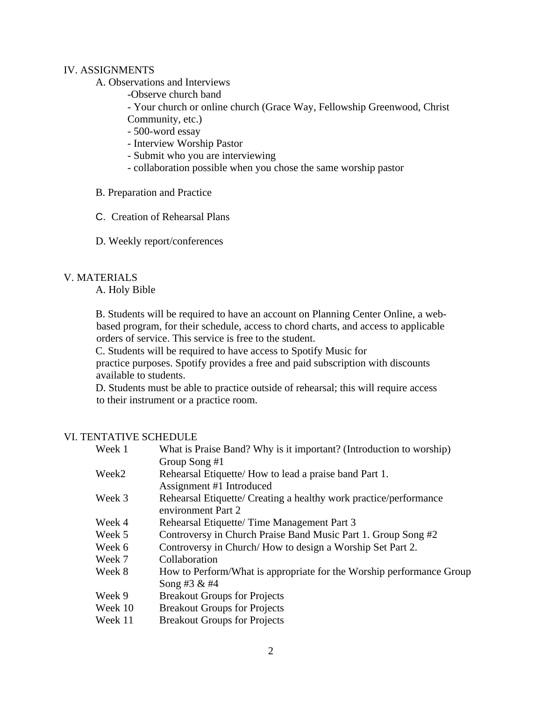## IV. ASSIGNMENTS

- A. Observations and Interviews
	- -Observe church band
	- Your church or online church (Grace Way, Fellowship Greenwood, Christ Community, etc.)
	- 500-word essay
	- Interview Worship Pastor
	- Submit who you are interviewing
	- collaboration possible when you chose the same worship pastor
- B. Preparation and Practice
- C. Creation of Rehearsal Plans
- D. Weekly report/conferences

## V. MATERIALS

A. Holy Bible

B. Students will be required to have an account on Planning Center Online, a webbased program, for their schedule, access to chord charts, and access to applicable orders of service. This service is free to the student.

C. Students will be required to have access to Spotify Music for

practice purposes. Spotify provides a free and paid subscription with discounts available to students.

D. Students must be able to practice outside of rehearsal; this will require access to their instrument or a practice room.

### VI. TENTATIVE SCHEDULE

| Week 1  | What is Praise Band? Why is it important? (Introduction to worship)                     |
|---------|-----------------------------------------------------------------------------------------|
|         | Group Song #1                                                                           |
| Week2   | Rehearsal Etiquette/ How to lead a praise band Part 1.                                  |
|         | Assignment #1 Introduced                                                                |
| Week 3  | Rehearsal Etiquette/ Creating a healthy work practice/performance<br>environment Part 2 |
| Week 4  | Rehearsal Etiquette/Time Management Part 3                                              |
| Week 5  | Controversy in Church Praise Band Music Part 1. Group Song #2                           |
| Week 6  | Controversy in Church/How to design a Worship Set Part 2.                               |
| Week 7  | Collaboration                                                                           |
| Week 8  | How to Perform/What is appropriate for the Worship performance Group                    |
|         | Song #3 $&$ #4                                                                          |
| Week 9  | <b>Breakout Groups for Projects</b>                                                     |
| Week 10 | <b>Breakout Groups for Projects</b>                                                     |
| Week 11 | <b>Breakout Groups for Projects</b>                                                     |